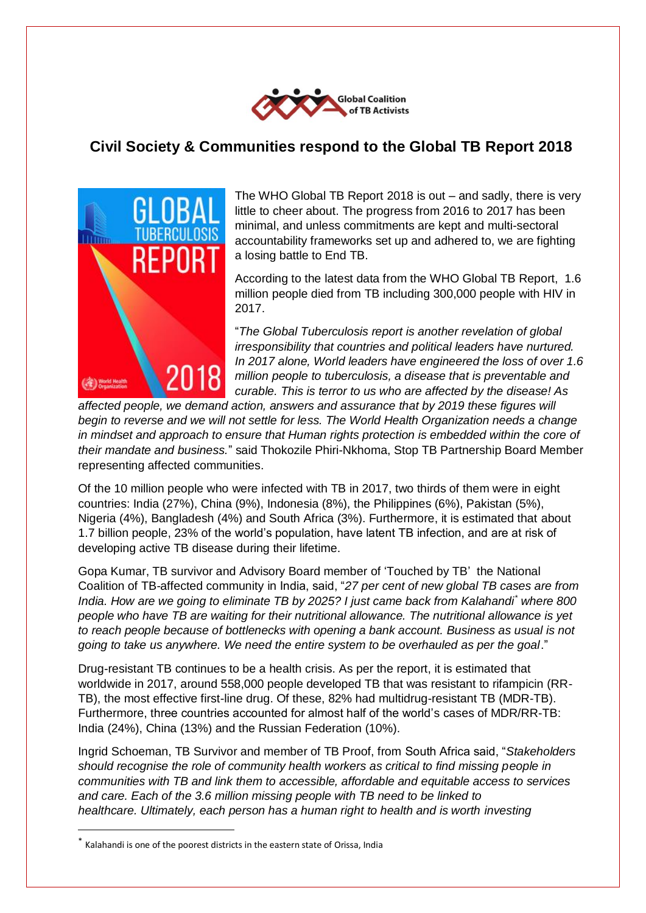

## **Civil Society & Communities respond to the Global TB Report 2018**



The WHO Global TB Report 2018 is out – and sadly, there is very little to cheer about. The progress from 2016 to 2017 has been minimal, and unless commitments are kept and multi-sectoral accountability frameworks set up and adhered to, we are fighting a losing battle to End TB.

According to the latest data from the WHO Global TB Report, 1.6 million people died from TB including 300,000 people with HIV in 2017.

"*The Global Tuberculosis report is another revelation of global irresponsibility that countries and political leaders have nurtured. In 2017 alone, World leaders have engineered the loss of over 1.6 million people to tuberculosis, a disease that is preventable and curable. This is terror to us who are affected by the disease! As* 

*affected people, we demand action, answers and assurance that by 2019 these figures will begin to reverse and we will not settle for less. The World Health Organization needs a change in mindset and approach to ensure that Human rights protection is embedded within the core of their mandate and business.*" said Thokozile Phiri-Nkhoma, Stop TB Partnership Board Member representing affected communities.

Of the 10 million people who were infected with TB in 2017, two thirds of them were in eight countries: India (27%), China (9%), Indonesia (8%), the Philippines (6%), Pakistan (5%), Nigeria (4%), Bangladesh (4%) and South Africa (3%). Furthermore, it is estimated that about 1.7 billion people, 23% of the world's population, have latent TB infection, and are at risk of developing active TB disease during their lifetime.

Gopa Kumar, TB survivor and Advisory Board member of 'Touched by TB' the National Coalition of TB-affected community in India, said, "*27 per cent of new global TB cases are from India. How are we going to eliminate TB by 2025? I just came back from Kalahandi\* where 800 people who have TB are waiting for their nutritional allowance. The nutritional allowance is yet to reach people because of bottlenecks with opening a bank account. Business as usual is not going to take us anywhere. We need the entire system to be overhauled as per the goal*."

Drug-resistant TB continues to be a health crisis. As per the report, it is estimated that worldwide in 2017, around 558,000 people developed TB that was resistant to rifampicin (RR-TB), the most effective first-line drug. Of these, 82% had multidrug-resistant TB (MDR-TB). Furthermore, three countries accounted for almost half of the world's cases of MDR/RR-TB: India (24%), China (13%) and the Russian Federation (10%).

Ingrid Schoeman, TB Survivor and member of TB Proof, from South Africa said, "*Stakeholders should recognise the role of community health workers as critical to find missing people in communities with TB and link them to accessible, affordable and equitable access to services and care. Each of the 3.6 million missing people with TB need to be linked to healthcare. Ultimately, each person has a human right to health and is worth investing* 

1

<sup>\*</sup> Kalahandi is one of the poorest districts in the eastern state of Orissa, India